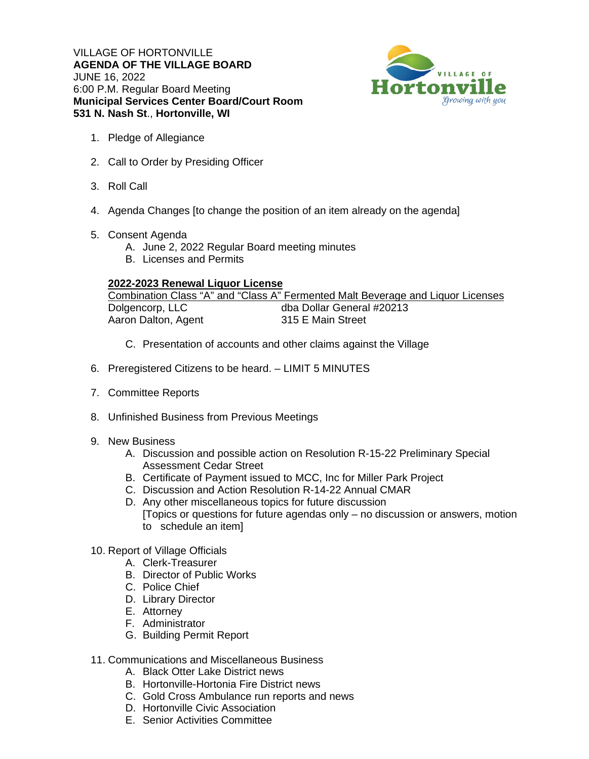VILLAGE OF HORTONVILLE **AGENDA OF THE VILLAGE BOARD**  JUNE 16, 2022 6:00 P.M. Regular Board Meeting **Municipal Services Center Board/Court Room 531 N. Nash St**., **Hortonville, WI**



- 1. Pledge of Allegiance
- 2. Call to Order by Presiding Officer
- 3. Roll Call
- 4. Agenda Changes [to change the position of an item already on the agenda]
- 5. Consent Agenda
	- A. June 2, 2022 Regular Board meeting minutes
	- B. Licenses and Permits

## **2022-2023 Renewal Liquor License**

|                     | Combination Class "A" and "Class A" Fermented Malt Beverage and Liquor Licenses |
|---------------------|---------------------------------------------------------------------------------|
| Dolgencorp, LLC     | dba Dollar General #20213                                                       |
| Aaron Dalton, Agent | 315 E Main Street                                                               |

- C. Presentation of accounts and other claims against the Village
- 6. Preregistered Citizens to be heard. LIMIT 5 MINUTES
- 7. Committee Reports
- 8. Unfinished Business from Previous Meetings
- 9. New Business
	- A. Discussion and possible action on Resolution R-15-22 Preliminary Special Assessment Cedar Street
	- B. Certificate of Payment issued to MCC, Inc for Miller Park Project
	- C. Discussion and Action Resolution R-14-22 Annual CMAR
	- D. Any other miscellaneous topics for future discussion [Topics or questions for future agendas only – no discussion or answers, motion to schedule an item]
- 10. Report of Village Officials
	- A. Clerk-Treasurer
	- B. Director of Public Works
	- C. Police Chief
	- D. Library Director
	- E. Attorney
	- F. Administrator
	- G. Building Permit Report
- 11. Communications and Miscellaneous Business
	- A. Black Otter Lake District news
	- B. Hortonville-Hortonia Fire District news
	- C. Gold Cross Ambulance run reports and news
	- D. Hortonville Civic Association
	- E. Senior Activities Committee